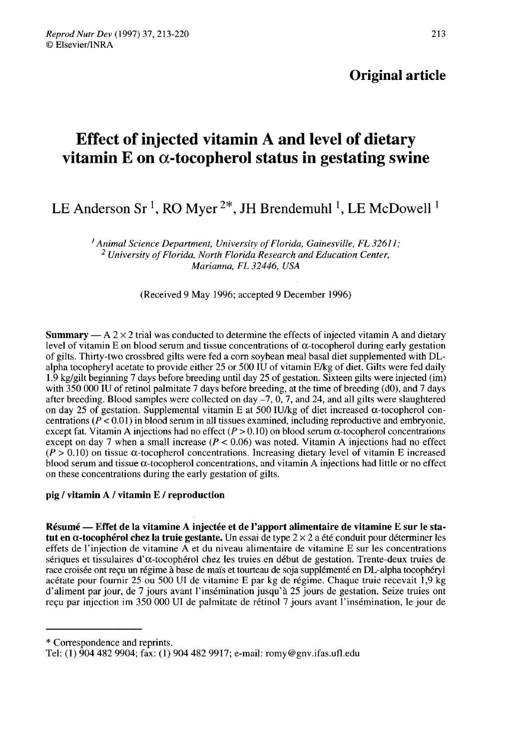## Original article

# Effect of injected vitamin A and level of dietary vitamin E on α-tocopherol status in gestating swine

## LE Anderson Sr<sup>1</sup>, RO Myer<sup>2\*</sup>, JH Brendemuhl<sup>1</sup>, LE McDowell<sup>1</sup>

<sup>1</sup> Animal Science Department, University of Florida, Gainesville, FL 32611;<br><sup>2</sup> University of Florida, North Florida Research and Education Center, Marianna, FL 32446, USA

(Received 9 May 1996; accepted 9 December 1996)

**Summary** — A  $2 \times 2$  trial was conducted to determine the effects of injected vitamin A and dietary level of vitamin E on blood serum and tissue concentrations of  $\alpha$ -tocopherol during early gestation of gilts. Thirty-two crossbred gilts were fed a corn soybean meal basal diet supplemented with DLalpha tocopheryl acetate to provide either 25 or 500 IU of vitamin E/kg of diet. Gilts were fed daily 1.9 kg/gilt beginning 7 days before breeding until day 25 of gestation. Sixteen gilts were injected (im) with 350 000 IU of retinol palmitate 7 days before breeding, at the time of breeding (d0), and 7 days after breeding. Blood samples were collected on day  $-7$ , 0, 7, and 24, and all gilts were slaughtered on day 25 of gestation. Supplemental vitamin E at 500 IU/kg of diet increased  $\alpha$ -tocopherol concentrations ( $P < 0.01$ ) in blood serum in all tissues examined, including reproductive and embryonic, except fat. Vitamin A injections had no effect ( $P > 0.10$ ) on blood serum  $\alpha$ -tocopherol concentrations except on day 7 when a small increase  $(P < 0.06)$  was noted. Vitamin A injections had no effect  $(P > 0.10)$  on tissue  $\alpha$ -tocopherol concentrations. Increasing dietary level of vitamin E increased blood serum and tissue  $\alpha$ -tocopherol concentrations, and vitamin A injections had little or no effect on these concentrations during the early gestation of gilts.

## pig / vitamin A / vitamin E / reproduction

Résumé ― Effet de la vitamine A injectée et de l'apport alimentaire de vitamine E sur le statut en  $\alpha$ -tocophérol chez la truie gestante. Un essai de type  $2 \times 2$  a été conduit pour déterminer les effets de l'injection de vitamine A et du niveau alimentaire de vitamine E sur les concentrations sériques et tissulaires d' $\alpha$ -tocophérol chez les truies en début de gestation. Trente-deux truies de race croisée ont reçu un régime à base de maïs et tourteau de soja supplémenté en DL-alpha tocophéryl acétate pour fournir 25 ou 500 UI de vitamine E par kg de régime. Chaque truie recevait 1,9 kg d'aliment par jour, de 7 jours avant l'insémination jusqu'à 25 jours de gestation. Seize truies ont reçu par injection im 350 000 Ul de palmitate de rétinol 7 jours avant l'insémination, le jour de

<sup>\*</sup> Correspondence and reprints.

Tel: (1) 904 482 9904; fax: (1) 904 482 9917; e-mail: romy@gnv.ifas.ufl.edu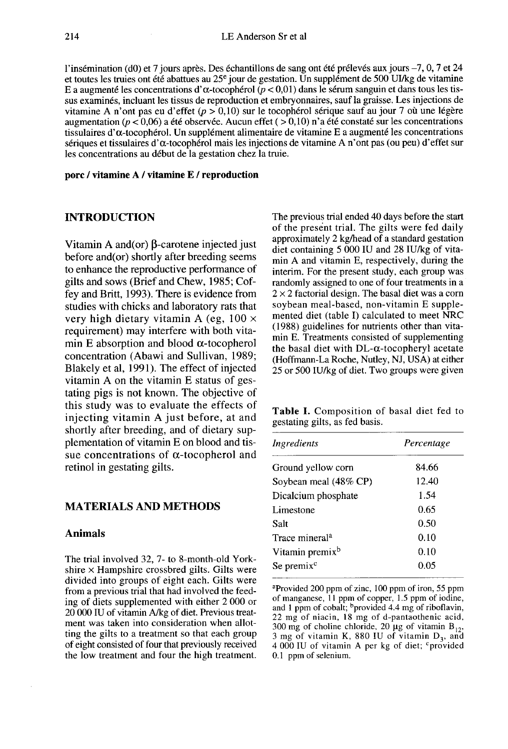l'insémination (d0) et 7 jours après. Des échantillons de sang ont été prélevés aux jours -7, 0, 7 et 24 et toutes les truies ont été abattues au  $25^e$  jour de gestation. Un supplément de 500 UI/kg de vitamine l'insémination (d0) et 7 jours après. Des échantillons de sang ont été prélevés aux jours –7, 0, 7 et 24<br>et toutes les truies ont été abattues au 25<sup>e</sup> jour de gestation. Un supplément de 500 UI/kg de vitamine<br>E a augment sus examinés, incluant les tissus de reproduction et embryonnaires, sauf la graisse. Les injections de vitamine A n'ont pas eu d'effet ( $p > 0.10$ ) sur le tocophérol sérique sauf au jour 7 où une légère augmentation ( $p < 0.06$ ) a été observée. Aucun effet ( $> 0.10$ ) n'a été constaté sur les concentrations tissulaires d' a-tocophérol. Un supplément alimentaire de vitamine E a augmenté les concentrations sériques et tissulaires d'α-tocophérol mais les injections de vitamine A n'ont pas (ou peu) d'effet sur les concentrations au début de la gestation chez la truie.

#### porc / vitamine A / vitamine E / reproduction

## INTRODUCTION

Vitamin A and(or)  $\beta$ -carotene injected just before and(or) shortly after breeding seems to enhance the reproductive performance of gilts and sows (Brief and Chew, 1985; Coffey and Britt, 1993). There is evidence from studies with chicks and laboratory rats that very high dietary vitamin A (eg,  $100 \times$ requirement) may interfere with both vitamin E absorption and blood  $\alpha$ -tocopherol concentration (Abawi and Sullivan, 1989; Blakely et al, 1991). The effect of injected vitamin A on the vitamin E status of gestating pigs is not known. The objective of this study was to evaluate the effects of injecting vitamin A just before, at and shortly after breeding, and of dietary supplementation of vitamin E on blood and tissue concentrations of  $\alpha$ -tocopherol and retinol in gestating gilts.

## MATERIALS AND METHODS

#### Animals

The trial involved 32, 7- to 8-month-old Yorkshire  $\times$  Hampshire crossbred gilts. Gilts were divided into groups of eight each. Gilts were from a previous trial that had involved the feeding of diets supplemented with either 2 000 or 20 000 IU of vitamin A/kg of diet. Previous treatment was taken into consideration when allotting the gilts to a treatment so that each group of eight consisted of four that previously received the low treatment and four the high treatment. The previous trial ended 40 days before the start of the present trial. The gilts were fed daily approximately 2 kg/head of a standard gestation diet containing 5 000 IU and 28 IU/kg of vitamin A and vitamin E, respectively, during the interim. For the present study, each group was randomly assigned to one of four treatments in a  $2 \times 2$  factorial design. The basal diet was a corn soybean meal-based, non-vitamin E supplemented diet (table I) calculated to meet NRC (1988) guidelines for nutrients other than vitamin E. Treatments consisted of supplementing the basal diet with  $DL-\alpha$ -tocopheryl acetate (Hoffmann-La Roche, Nutley, NJ, USA) at either 25 or 500 IU/kg of diet. Two groups were given

Table I. Composition of basal diet fed to gestating gilts, as fed basis.

| Ingredients                 | Percentage |  |  |
|-----------------------------|------------|--|--|
| Ground yellow corn          | 84.66      |  |  |
| Soybean meal (48% CP)       | 12.40      |  |  |
| Dicalcium phosphate         | 1.54       |  |  |
| Limestone                   | 0.65       |  |  |
| Salt                        | 0.50       |  |  |
| Trace mineral <sup>a</sup>  | 0.10       |  |  |
| Vitamin premix <sup>b</sup> | 0.10       |  |  |
| Se premix <sup>c</sup>      | 0.05       |  |  |

<sup>a</sup>Provided 200 ppm of zinc, 100 ppm of iron, 55 ppm of manganese, 11 ppm of copper, 1.5 ppm of iodine, and 1 ppm of cobalt; bprovided 4.4 mg of riboflavin, 22 mg of niacin, 18 mg of d-pantaothenic acid, 300 mg of choline chloride, 20 µg of vitamin  $B_{12}$ , 3 mg of vitamin K, 880 IU of vitamin  $D_3$ , and 4 000 IU of vitamin A per kg of diet; <sup>c</sup>provided 0.1 ppm of selenium.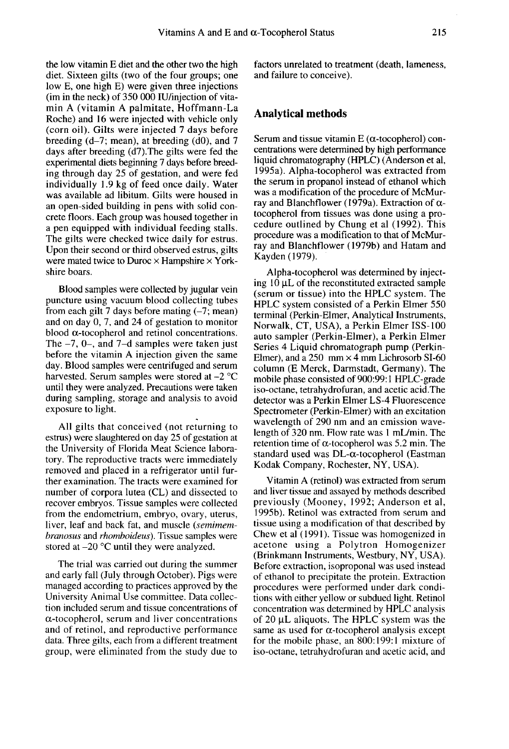the low vitamin E diet and the other two the high diet. Sixteen gilts (two of the four groups; one low E, one high E) were given three injections (im in the neck) of 350 000 IU/injection of vitamin A (vitamin A palmitate, Hoffmann-La Roche) and 16 were injected with vehicle only (corn oil). Gilts were injected 7 days before breeding  $(d-7;$  mean), at breeding  $(d0)$ , and 7 days after breeding (d7).The gilts were fed the experimental diets beginning 7 days before breeding through day 25 of gestation, and were fed individually 1.9 kg of feed once daily. Water was available ad libitum. Gilts were housed in an open-sided building in pens with solid concrete floors. Each group was housed together in a pen equipped with individual feeding stalls. The gilts were checked twice daily for estrus. Upon their second or third observed estrus, gilts were mated twice to Duroc  $\times$  Hampshire  $\times$  Yorkshire boars.

Blood samples were collected by jugular vein puncture using vacuum blood collecting tubes from each gilt 7 days before mating  $(-7;$  mean) and on day 0, 7, and 24 of gestation to monitor blood  $\alpha$ -tocopherol and retinol concentrations. The  $-7$ , 0–, and 7–d samples were taken just before the vitamin A injection given the same day. Blood samples were centrifuged and serum harvested. Serum samples were stored at -2 °C until they were analyzed. Precautions were taken during sampling, storage and analysis to avoid exposure to light.

All gilts that conceived (not returning to estrus) were slaughtered on day 25 of gestation at the University of Florida Meat Science laboratory. The reproductive tracts were immediately removed and placed in a refrigerator until further examination. The tracts were examined for number of corpora lutea (CL) and dissected to recover embryos. Tissue samples were collected from the endometrium, embryo, ovary, uterus, liver, leaf and back fat, and muscle (semimembranosus and rhomboideus). Tissue samples were stored at  $-20$  °C until they were analyzed.

The trial was carried out during the summer and early fall (July through October). Pigs were managed according to practices approved by the University Animal Use committee. Data collection included serum and tissue concentrations of  $\alpha$ -tocopherol, serum and liver concentrations and of retinol, and reproductive performance data. Three gilts, each from a different treatment group, were eliminated from the study due to

factors unrelated to treatment (death, lameness, and failure to conceive).

#### Analytical methods

Serum and tissue vitamin  $E$  ( $\alpha$ -tocopherol) concentrations were determined by high performance liquid chromatography (HPLC) (Anderson et al, 1995a). Alpha-tocopherol was extracted from the serum in propanol instead of ethanol which was a modification of the procedure of McMurray and Blanchflower (1979a). Extraction of  $\alpha$ tocopherol from tissues was done using a procedure outlined by Chung et al (1992). This procedure was a modification to that of McMurray and Blanchflower (1979b) and Hatam and Kayden (1979).

Alpha-tocopherol was determined by injecting  $10 \mu L$  of the reconstituted extracted sample (serum or tissue) into the HPLC system. The HPLC system consisted of a Perkin Elmer 550 terminal (Perkin-Elmer, Analytical Instruments, Norwalk, CT, USA), a Perkin Elmer ISS-100 auto sampler (Perkin-Elmer), a Perkin Elmer Series 4 Liquid chromatograph pump (Perkin-Elmer), and a 250 mm  $\times$  4 mm Lichrosorb SI-60 column (E Merck, Darmstadt, Germany). The mobile phase consisted of 900:99:1 HPLC-grade iso-octane, tetrahydrofuran, and acetic acid.The detector was a Perkin Elmer LS-4 Fluorescence Spectrometer (Perkin-Elmer) with an excitation wavelength of 290 nm and an emission wavelength of 320 nm. Flow rate was 1 mL/min. The retention time of  $\alpha$ -tocopherol was 5.2 min. The standard used was  $DL-\alpha$ -tocopherol (Eastman Kodak Company, Rochester, NY, USA).

Vitamin A (retinol) was extracted from serum and liver tissue and assayed by methods described previously (Mooney, 1992; Anderson et al, 1995b). Retinol was extracted from serum and tissue using a modification of that described by Chew et al (1991). Tissue was homogenized in acetone using a Polytron Homogenizer (Brinkmann Instruments, Westbury, NY, USA). Before extraction, isoproponal was used instead of ethanol to precipitate the protein. Extraction procedures were performed under dark conditions with either yellow or subdued light. Retinol concentration was determined by HPLC analysis of  $20 \mu L$  aliquots. The HPLC system was the same as used for  $\alpha$ -tocopherol analysis except for the mobile phase, an 800:199:1 mixture of iso-octane, tetrahydrofuran and acetic acid, and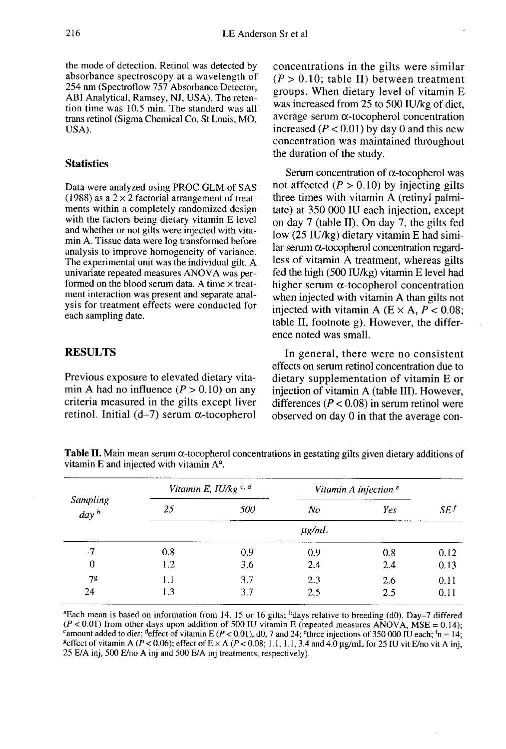the mode of detection. Retinol was detected by absorbance spectroscopy at a wavelength of 254 nm (Spectroflow 757 Absorbance Detector, ABI Analytical, Ramsey, NJ, USA). The retention time was 10.5 min. The standard was all trans retinol (Sigma Chemical Co, St Louis, MO, USA).

## **Statistics**

Data were analyzed using PROC GLM of SAS (1988) as a  $2 \times 2$  factorial arrangement of treatments within a completely randomized design with the factors being dietary vitamin E level and whether or not gilts were injected with vitamin A. Tissue data were log transformed before analysis to improve homogeneity of variance. The experimental unit was the individual gilt. A univariate repeated measures ANOVA was performed on the blood serum data. A time  $\times$  treatment interaction was present and separate analysis for treatment effects were conducted for each sampling date.

## **RESULTS**

24

Previous exposure to elevated dietary vitamin A had no influence  $(P > 0.10)$  on any criteria measured in the gilts except liver retinol. Initial (d-7) serum  $\alpha$ -tocopherol

 $1.3$ 

concentrations in the gilts were similar  $(P > 0.10$ ; table II) between treatment groups. When dietary level of vitamin E was increased from 25 to 500 IU/kg of diet, average serum  $\alpha$ -tocopherol concentration increased ( $P < 0.01$ ) by day 0 and this new concentration was maintained throughout the duration of the study.

Serum concentration of  $\alpha$ -tocopherol was not affected  $(P > 0.10)$  by injecting gilts three times with vitamin A (retinyl palmitate) at 350 000 IU each injection, except on day  $7$  (table II). On day  $7$ , the gilts fed low (25 IU/kg) dietary vitamin E had similar serum  $\alpha$ -tocopherol concentration regardless of vitamin A treatment, whereas gilts fed the high (500 IU/kg) vitamin E level had higher serum  $\alpha$ -tocopherol concentration when injected with vitamin A than gilts not injected with vitamin A ( $E \times A$ ,  $P < 0.08$ ; table II, footnote g). However, the difference noted was small.

In general, there were no consistent effects on serum retinol concentration due to dietary supplementation of vitamin E or injection of vitamin A (table III). However, differences ( $P < 0.08$ ) in serum retinol were observed on day 0 in that the average con-

2.5

 $0.11$ 

| Sampling<br>$\int$ day b | Vitamin E, $I U/kg$ <sup>c, d</sup> |     | Vitamin A injection $e$ |     |        |
|--------------------------|-------------------------------------|-----|-------------------------|-----|--------|
|                          | 25                                  | 500 | No                      | Yes | $SE^f$ |
|                          | $\mu$ g/mL                          |     |                         |     |        |
| $-7$                     | 0.8                                 | 0.9 | 0.9                     | 0.8 | 0.12   |
| 0                        | 1.2                                 | 3.6 | 2.4                     | 2.4 | 0.13   |
| 78                       |                                     | 3.7 | 2.3                     | 2.6 | 0.11   |

**Table II.** Main mean serum  $\alpha$ -tocopherol concentrations in gestating gilts given dietary additions of vitamin E and injected with vitamin  $A^a$ .

<sup>a</sup>Each mean is based on information from 14, 15 or 16 gilts; <sup>b</sup>days relative to breeding (d0). Day-7 differed  $(P < 0.01)$  from other days upon addition of 500 IU vitamin E (repeated measures ANOVA, MSE = 0.14); <sup>c</sup>amount added to diet; <sup>d</sup>effect of vitamin E ( $P < 0.01$ ), d0, 7 and 24; <sup>e</sup>three injections of 350 000 IU each; <sup>f</sup>n = 14; <sup>g</sup>effect of vitamin A ( $P < 0.06$ ); effect of E  $\times$  A ( $P < 0.08$ ; 1.1, 1.1, 3.4 and 4.0 µg/mL for 25 IU vit E/no vit A inj, 25 E/A inj, 500 E/no A inj and 500 E/A inj treatments, respectively).

2.5

3.7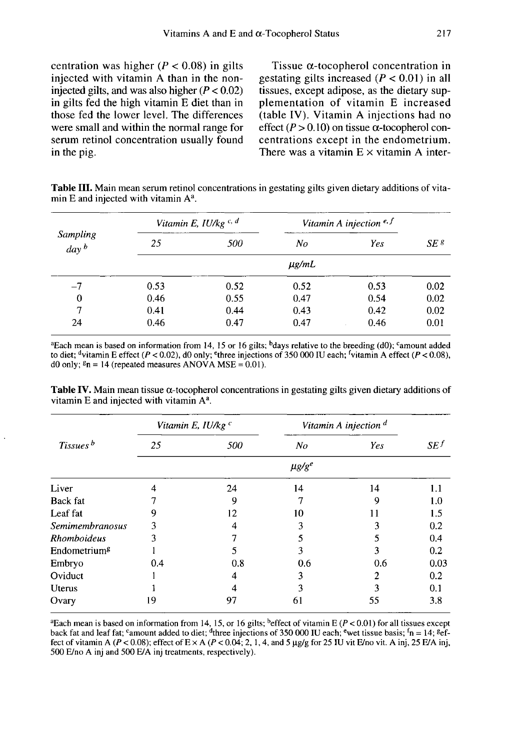centration was higher ( $P < 0.08$ ) in gilts injected with vitamin A than in the noninjected gilts, and was also higher  $(P < 0.02)$ in gilts fed the high vitamin E diet than in those fed the lower level. The differences were small and within the normal range for serum retinol concentration usually found in the pig.

Tissue  $\alpha$ -tocopherol concentration in gestating gilts increased  $(P < 0.01)$  in all tissues, except adipose, as the dietary supplementation of vitamin E increased (table IV). Vitamin A injections had no effect ( $P > 0.10$ ) on tissue  $\alpha$ -tocopherol concentrations except in the endometrium. There was a vitamin  $E \times$  vitamin A inter-

Table III. Main mean serum retinol concentrations in gestating gilts given dietary additions of vitamin E and injected with vitamin A<sup>a</sup>.

| Sampling<br>day <sup>b</sup> | Vitamin E, $I U/kg$ <sup>c, d</sup> |      | Vitamin A injection $e, f$ |      |                 |
|------------------------------|-------------------------------------|------|----------------------------|------|-----------------|
|                              | 25                                  | 500  | No                         | Yes  | SE <sup>g</sup> |
|                              | $\mu$ g/mL                          |      |                            |      |                 |
| $-7$                         | 0.53                                | 0.52 | 0.52                       | 0.53 | 0.02            |
| $\bf{0}$                     | 0.46                                | 0.55 | 0.47                       | 0.54 | 0.02            |
| 7                            | 0.41                                | 0.44 | 0.43                       | 0.42 | 0.02            |
| 24                           | 0.46                                | 0.47 | 0.47                       | 0.46 | 0.01            |

aEach mean is based on information from 14, 15 or 16 gilts; bdays relative to the breeding (d0); camount added to diet;  $\frac{d}{dx}$  vitamin E effect ( $P < 0.02$ ), d0 only;  $\frac{e}{x}$  three injections of 350 000 IU each;  $\frac{f}{x}$  vitamin A effect ( $P < 0.08$ ), d0 only;  $\epsilon_n = 14$  (repeated measures ANOVA MSE = 0.01).

Table IV. Main mean tissue  $\alpha$ -tocopherol concentrations in gestating gilts given dietary additions of vitamin E and injected with vitamin  $A^a$ .

|                          | Vitamin E, IU/kg c |     | Vitamin A injection <sup>d</sup> |     |                 |
|--------------------------|--------------------|-----|----------------------------------|-----|-----------------|
| Tissues <sup>b</sup>     | 25                 | 500 | N <sub>O</sub>                   | Yes | SE <sup>f</sup> |
|                          | $\mu g/g^e$        |     |                                  |     |                 |
| Liver                    | 4                  | 24  | 14                               | 14  | 1.1             |
| Back fat                 |                    | 9   |                                  | 9   | 1.0             |
| Leaf fat                 | Q                  | 12  | 10                               | 11  | 1.5             |
| Semimembranosus          |                    | 4   | 3                                |     | 0.2             |
| <b>Rhomboideus</b>       |                    |     | 5                                |     | 0.4             |
| Endometrium <sup>g</sup> |                    | 5   | 3                                | 3   | 0.2             |
| Embryo                   | 0.4                | 0.8 | 0.6                              | 0.6 | 0.03            |
| Oviduct                  |                    | 4   | 3                                |     | 0.2             |
| Uterus                   |                    | 4   | 3                                | ٦   | 0.1             |
| Ovary                    | 19                 | 97  | 61                               | 55  | 3.8             |

<sup>a</sup>Each mean is based on information from 14, 15, or 16 gilts; <sup>b</sup>effect of vitamin E ( $P < 0.01$ ) for all tissues except back fat and leaf fat; 'amount added to diet; <sup>4</sup>three injections of 350 000 IU each; <sup>e</sup>wet tissue basis;  $\ln = 14$ ; <sup>g</sup>effect of vitamin A ( $P < 0.08$ ); effect of E  $\times$  A ( $P < 0.04$ ; 2, 1, 4, and 5 µg/g for 25 IU vit E/no vit. A inj, 25 E/A inj, 500 E/no A inj and 500 E/A inj treatments, respectively).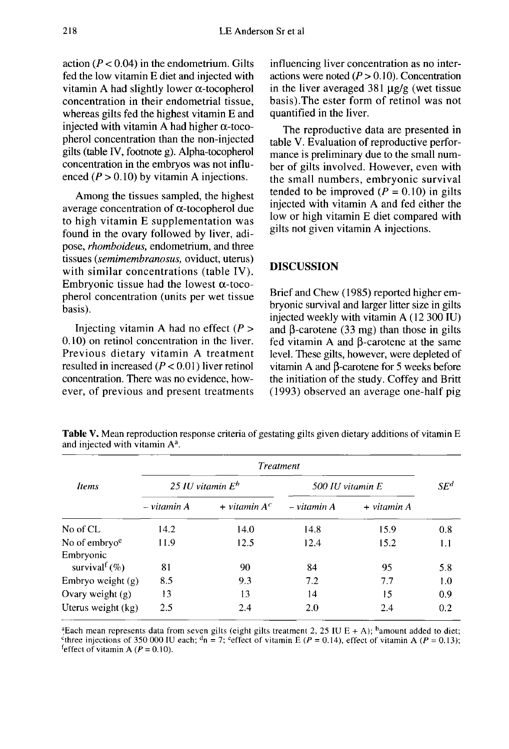action ( $P < 0.04$ ) in the endometrium. Gilts fed the low vitamin E diet and injected with vitamin A had slightly lower  $\alpha$ -tocopherol concentration in their endometrial tissue, whereas gilts fed the highest vitamin E and injected with vitamin A had higher  $\alpha$ -tocopherol concentration than the non-injected gilts (table IV, footnote g). Alpha-tocopherol concentration in the embryos was not influenced  $(P > 0.10)$  by vitamin A injections.

Among the tissues sampled, the highest average concentration of  $\alpha$ -tocopherol due to high vitamin E supplementation was found in the ovary followed by liver, adipose, rhomboideus, endometrium, and three tissues (semimembranosus, oviduct, uterus) with similar concentrations (table IV). Embryonic tissue had the lowest  $\alpha$ -tocopherol concentration (units per wet tissue basis).

Injecting vitamin A had no effect  $(P >$ 0.10) on retinol concentration in the liver. Previous dietary vitamin A treatment resulted in increased  $(P < 0.01)$  liver retinol concentration. There was no evidence, however, of previous and present treatments influencing liver concentration as no interactions were noted  $(P > 0.10)$ . Concentration in the liver averaged  $381 \mu g/g$  (wet tissue basis).The ester form of retinol was not quantified in the liver.

The reproductive data are presented in table V. Evaluation of reproductive perfor mance is preliminary due to the small number of gilts involved. However, even with the small numbers, embryonic survival tended to be improved  $(P = 0.10)$  in gilts injected with vitamin A and fed either the low or high vitamin E diet compared with gilts not given vitamin A injections.

## DISCUSSION

Brief and Chew (1985) reported higher embryonic survival and larger litter size in gilts injected weekly with vitamin A (12 300 IU) and  $\beta$ -carotene (33 mg) than those in gilts fed vitamin A and  $\beta$ -carotene at the same level. These gilts, however, were depleted of vitamin A and  $\beta$ -carotene for 5 weeks before the initiation of the study. Coffey and Britt (1993) observed an average one-half pig

**Table V.** Mean reproduction response criteria of gestating gilts given dietary additions of vitamin E and injected with vitamin  $A^a$ .

| Items                                     | <b>Treatment</b>    |                 |                  |                            |        |
|-------------------------------------------|---------------------|-----------------|------------------|----------------------------|--------|
|                                           | 25 IU vitamin $E^b$ |                 | 500 IU vitamin E |                            | $SE^d$ |
|                                           | $-$ vitamin $A$     | + vitamin $A^c$ | – vitamin A      | $+$ vitamin $\overline{A}$ |        |
| No of CL                                  | 14.2                | 14.0            | 14.8             | 15.9                       | 0.8    |
| No of embryo $e$                          | 11.9                | 12.5            | 12.4             | 15.2                       | 1.1    |
| Embryonic<br>survival <sup>f</sup> $(\%)$ | 81                  | 90              | 84               | 95                         | 5.8    |
| Embryo weight $(g)$                       | 8.5                 | 9.3             | 7.2              | 7.7                        | 1.0    |
| Ovary weight (g)                          | 13                  | 13              | 14               | 15                         | 0.9    |
| Uterus weight (kg)                        | 2.5                 | 2.4             | 2.0              | 2.4                        | 0.2    |

<sup>a</sup> Each mean represents data from seven gilts (eight gilts treatment 2, 25 IU E + A); <sup>b</sup>amount added to diet; <sup>c</sup>three injections of 350 000 IU each;  $\ln \theta = 7$ ; <sup>c</sup>effect of vitamin E (P = 0.14), effect of vitamin A (P = 0.13); <sup>f</sup>effect of vitamin A ( $P = 0.10$ ).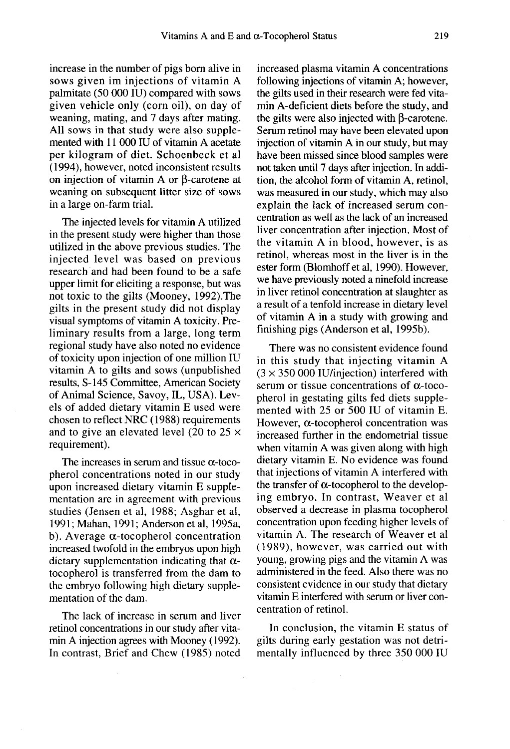increase in the number of pigs born alive in sows given im injections of vitamin A palmitate (50 000 IU) compared with sows given vehicle only (corn oil), on day of weaning, mating, and 7 days after mating. All sows in that study were also supplemented with 11 000 IU of vitamin A acetate per kilogram of diet. Schoenbeck et al (1994), however, noted inconsistent results on injection of vitamin A or  $\beta$ -carotene at weaning on subsequent litter size of sows in a large on-farm trial.

The injected levels for vitamin A utilized in the present study were higher than those utilized in the above previous studies. The injected level was based on previous research and had been found to be a safe upper limit for eliciting a response, but was not toxic to the gilts (Mooney, 1992).The gilts in the present study did not display visual symptoms of vitamin A toxicity. Preliminary results from a large, long term regional study have also noted no evidence of toxicity upon injection of one million IU vitamin A to gilts and sows (unpublished results, S-145 Committee, American Society of Animal Science, Savoy, IL, USA). Levels of added dietary vitamin E used were chosen to reflect NRC (1988) requirements and to give an elevated level (20 to  $25 \times$ requirement).

The increases in serum and tissue  $\alpha$ -tocopherol concentrations noted in our study upon increased dietary vitamin E supplementation are in agreement with previous studies (Jensen et al, 1988; Asghar et al, 1991; Mahan, 1991; Anderson et al, 1995a, b). Average  $\alpha$ -tocopherol concentration increased twofold in the embryos upon high dietary supplementation indicating that  $\alpha$ tocopherol is transferred from the dam to the embryo following high dietary supplementation of the dam.

The lack of increase in serum and liver retinol concentrations in our study after vitamin A injection agrees with Mooney (1992). In contrast, Brief and Chew ( 1985) noted

increased plasma vitamin A concentrations following injections of vitamin A; however, the gilts used in their research were fed vitamin A-deficient diets before the study, and the gilts were also injected with  $\beta$ -carotene. Serum retinol may have been elevated upon injection of vitamin A in our study, but may have been missed since blood samples were not taken until 7 days after injection. In addition, the alcohol form of vitamin A, retinol, was measured in our study, which may also explain the lack of increased serum concentration as well as the lack of an increased liver concentration after injection. Most of the vitamin A in blood, however, is as retinol, whereas most in the liver is in the ester form (Blomhoff et al, 1990). However, we have previously noted a ninefold increase in liver retinol concentration at slaughter as a result of a tenfold increase in dietary level of vitamin A in a study with growing and finishing pigs (Anderson et al, 1995b).

There was no consistent evidence found in this study that injecting vitamin A  $(3 \times 350 000$  IU/injection) interfered with serum or tissue concentrations of  $\alpha$ -tocopherol in gestating gilts fed diets supplemented with 25 or 500 IU of vitamin E. However,  $\alpha$ -tocopherol concentration was increased further in the endometrial tissue when vitamin A was given along with high dietary vitamin E. No evidence was found that injections of vitamin A interfered with the transfer of  $\alpha$ -tocopherol to the developing embryo. In contrast, Weaver et al observed a decrease in plasma tocopherol concentration upon feeding higher levels of vitamin A. The research of Weaver et al (1989), however, was carried out with young, growing pigs and the vitamin A was administered in the feed. Also there was no consistent evidence in our study that dietary vitamin E interfered with serum or liver concentration of retinol.

In conclusion, the vitamin E status of gilts during early gestation was not detrimentally influenced by three 350 000 IU